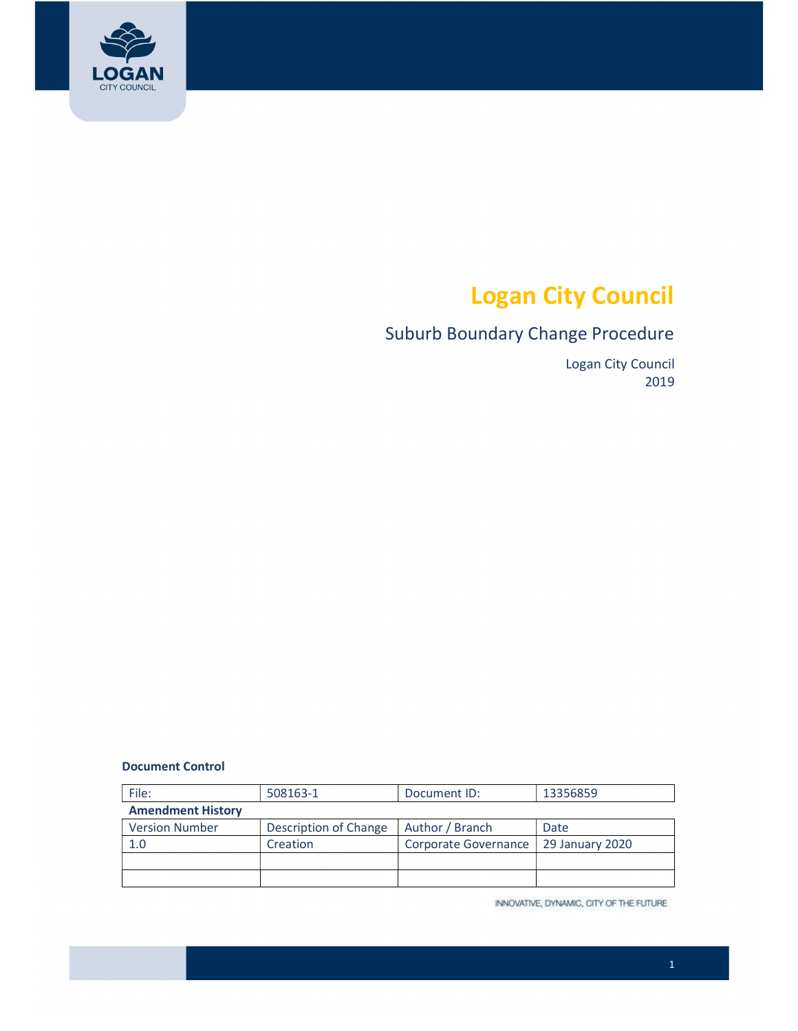

# Logan City Council

# Suburb Boundary Change Procedure

 Logan City Council 2019

#### Document Control

| File:                    | 508163-1              | Document ID:                           | 13356859 |
|--------------------------|-----------------------|----------------------------------------|----------|
| <b>Amendment History</b> |                       |                                        |          |
| <b>Version Number</b>    | Description of Change | Author / Branch                        | Date     |
| 1.0                      | Creation              | Corporate Governance   29 January 2020 |          |
|                          |                       |                                        |          |
|                          |                       |                                        |          |

INNOVATIVE, DYNAMIC, CITY OF THE FUTURE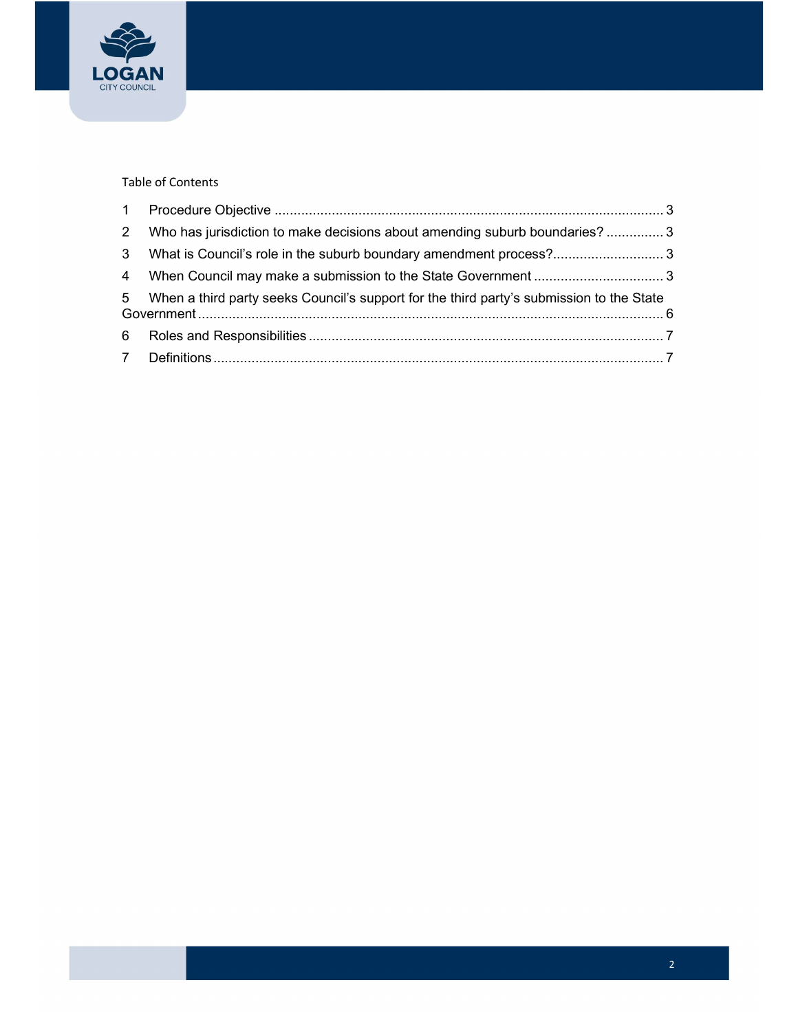

### Table of Contents

| 2 Who has jurisdiction to make decisions about amending suburb boundaries?3                |  |
|--------------------------------------------------------------------------------------------|--|
|                                                                                            |  |
|                                                                                            |  |
| 5 When a third party seeks Council's support for the third party's submission to the State |  |
|                                                                                            |  |
|                                                                                            |  |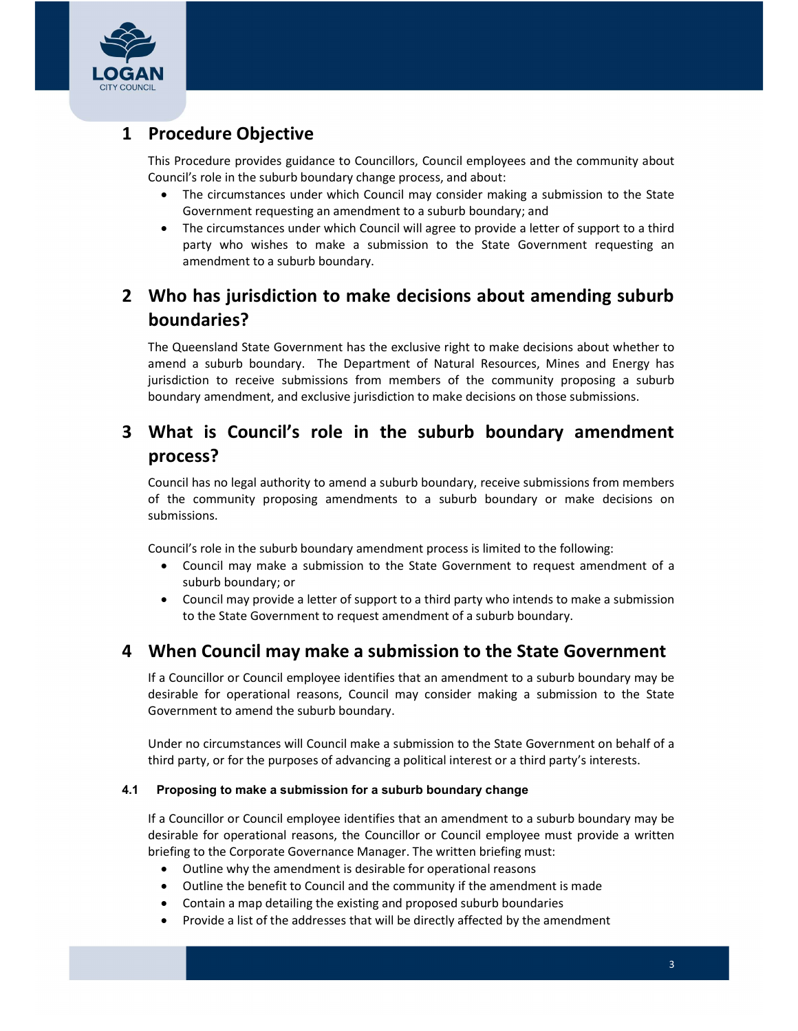<span id="page-2-0"></span>

# 1 Procedure Objective

 This Procedure provides guidance to Councillors, Council employees and the community about Council's role in the suburb boundary change process, and about:

- The circumstances under which Council may consider making a submission to the State Government requesting an amendment to a suburb boundary; and
- The circumstances under which Council will agree to provide a letter of support to a third party who wishes to make a submission to the State Government requesting an amendment to a suburb boundary.

# 2 Who has jurisdiction to make decisions about amending suburb boundaries?

 The Queensland State Government has the exclusive right to make decisions about whether to amend a suburb boundary. The Department of Natural Resources, Mines and Energy has jurisdiction to receive submissions from members of the community proposing a suburb boundary amendment, and exclusive jurisdiction to make decisions on those submissions.

# 3 What is Council's role in the suburb boundary amendment process?

 Council has no legal authority to amend a suburb boundary, receive submissions from members of the community proposing amendments to a suburb boundary or make decisions on submissions.

Council's role in the suburb boundary amendment process is limited to the following:

- Council may make a submission to the State Government to request amendment of a suburb boundary; or
- Council may provide a letter of support to a third party who intends to make a submission to the State Government to request amendment of a suburb boundary.

# 4 When Council may make a submission to the State Government

 If a Councillor or Council employee identifies that an amendment to a suburb boundary may be desirable for operational reasons, Council may consider making a submission to the State Government to amend the suburb boundary.

 Under no circumstances will Council make a submission to the State Government on behalf of a third party, or for the purposes of advancing a political interest or a third party's interests.

### 4.1 Proposing to make a submission for a suburb boundary change

 If a Councillor or Council employee identifies that an amendment to a suburb boundary may be desirable for operational reasons, the Councillor or Council employee must provide a written briefing to the Corporate Governance Manager. The written briefing must:

- Outline why the amendment is desirable for operational reasons
- Outline the benefit to Council and the community if the amendment is made
- Contain a map detailing the existing and proposed suburb boundaries
- Provide a list of the addresses that will be directly affected by the amendment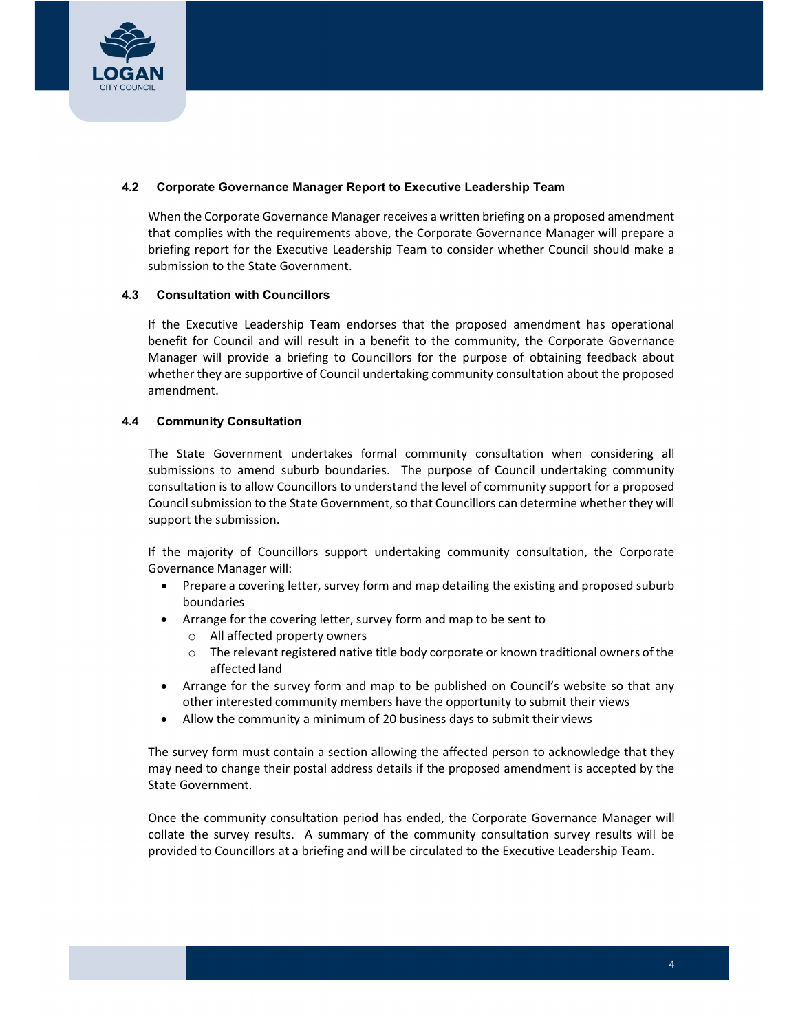

### 4.2 Corporate Governance Manager Report to Executive Leadership Team

 When the Corporate Governance Manager receives a written briefing on a proposed amendment that complies with the requirements above, the Corporate Governance Manager will prepare a briefing report for the Executive Leadership Team to consider whether Council should make a submission to the State Government.

#### 4.3 Consultation with Councillors

 If the Executive Leadership Team endorses that the proposed amendment has operational benefit for Council and will result in a benefit to the community, the Corporate Governance Manager will provide a briefing to Councillors for the purpose of obtaining feedback about whether they are supportive of Council undertaking community consultation about the proposed amendment.

### 4.4 Community Consultation

 The State Government undertakes formal community consultation when considering all submissions to amend suburb boundaries. The purpose of Council undertaking community consultation is to allow Councillors to understand the level of community support for a proposed Council submission to the State Government, so that Councillors can determine whether they will support the submission.

 If the majority of Councillors support undertaking community consultation, the Corporate Governance Manager will:

- Prepare a covering letter, survey form and map detailing the existing and proposed suburb boundaries
- Arrange for the covering letter, survey form and map to be sent to
	- o All affected property owners
	- $\circ$  The relevant registered native title body corporate or known traditional owners of the affected land
- Arrange for the survey form and map to be published on Council's website so that any other interested community members have the opportunity to submit their views
- Allow the community a minimum of 20 business days to submit their views

 The survey form must contain a section allowing the affected person to acknowledge that they may need to change their postal address details if the proposed amendment is accepted by the State Government.

 Once the community consultation period has ended, the Corporate Governance Manager will collate the survey results. A summary of the community consultation survey results will be provided to Councillors at a briefing and will be circulated to the Executive Leadership Team.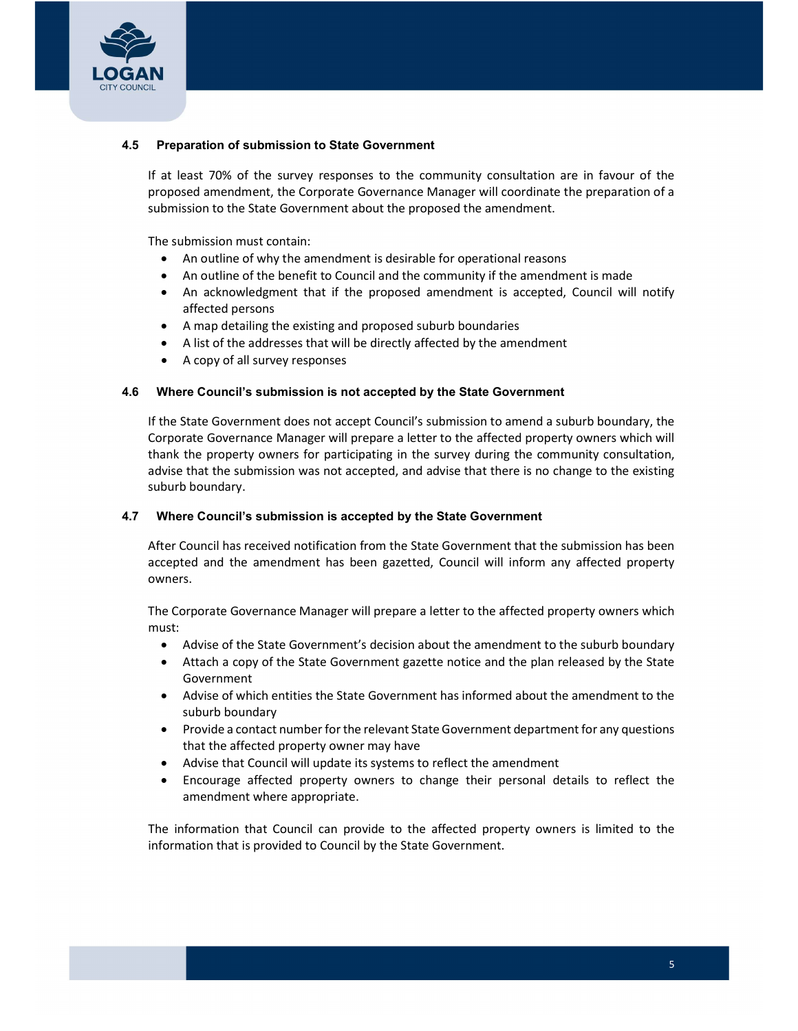

### 4.5 Preparation of submission to State Government

 If at least 70% of the survey responses to the community consultation are in favour of the proposed amendment, the Corporate Governance Manager will coordinate the preparation of a submission to the State Government about the proposed the amendment.

The submission must contain:

- An outline of why the amendment is desirable for operational reasons
- An outline of the benefit to Council and the community if the amendment is made
- An acknowledgment that if the proposed amendment is accepted, Council will notify affected persons
- A map detailing the existing and proposed suburb boundaries
- A list of the addresses that will be directly affected by the amendment
- A copy of all survey responses

#### 4.6 Where Council's submission is not accepted by the State Government

 If the State Government does not accept Council's submission to amend a suburb boundary, the Corporate Governance Manager will prepare a letter to the affected property owners which will thank the property owners for participating in the survey during the community consultation, advise that the submission was not accepted, and advise that there is no change to the existing suburb boundary.

#### 4.7 Where Council's submission is accepted by the State Government

 After Council has received notification from the State Government that the submission has been accepted and the amendment has been gazetted, Council will inform any affected property owners.

 The Corporate Governance Manager will prepare a letter to the affected property owners which must:

- Advise of the State Government's decision about the amendment to the suburb boundary
- Attach a copy of the State Government gazette notice and the plan released by the State Government
- Advise of which entities the State Government has informed about the amendment to the suburb boundary
- Provide a contact number for the relevant State Government department for any questions that the affected property owner may have
- Advise that Council will update its systems to reflect the amendment
- Encourage affected property owners to change their personal details to reflect the amendment where appropriate.

 The information that Council can provide to the affected property owners is limited to the information that is provided to Council by the State Government.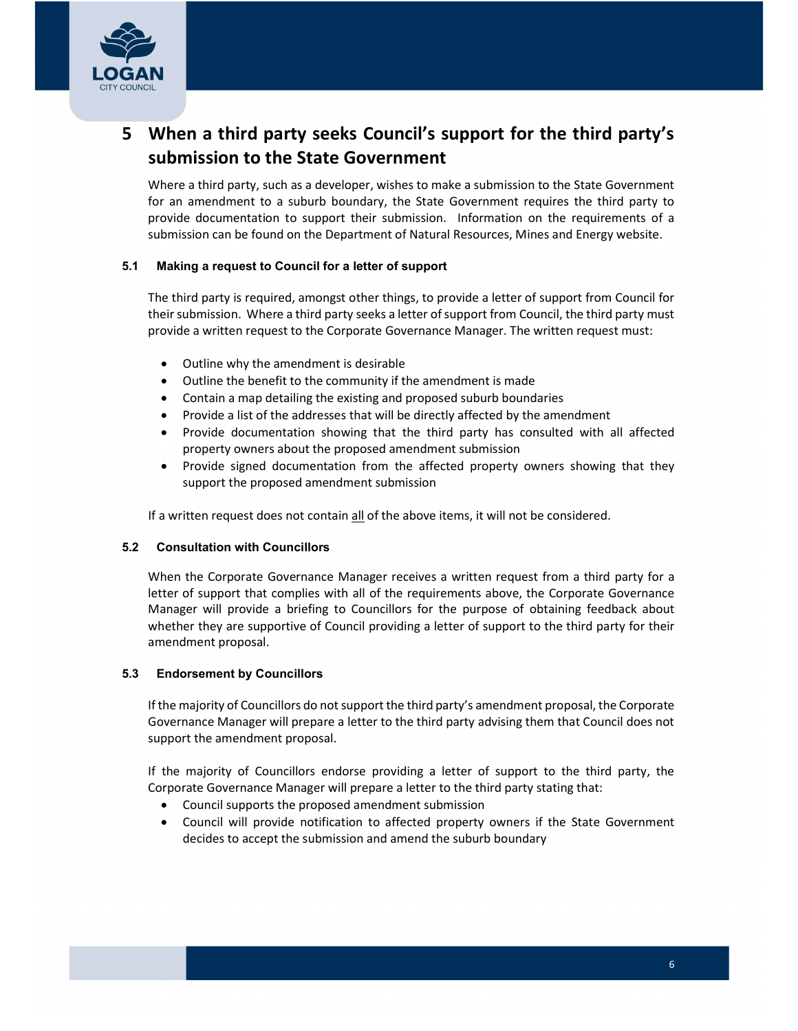<span id="page-5-0"></span>

# 5 When a third party seeks Council's support for the third party's submission to the State Government

 Where a third party, such as a developer, wishes to make a submission to the State Government for an amendment to a suburb boundary, the State Government requires the third party to provide documentation to support their submission. Information on the requirements of a submission can be found on the Department of Natural Resources, Mines and Energy website.

### 5.1 Making a request to Council for a letter of support

 The third party is required, amongst other things, to provide a letter of support from Council for their submission. Where a third party seeks a letter of support from Council, the third party must provide a written request to the Corporate Governance Manager. The written request must:

- Outline why the amendment is desirable
- Outline the benefit to the community if the amendment is made
- Contain a map detailing the existing and proposed suburb boundaries
- Provide a list of the addresses that will be directly affected by the amendment
- Provide documentation showing that the third party has consulted with all affected property owners about the proposed amendment submission
- Provide signed documentation from the affected property owners showing that they support the proposed amendment submission

If a written request does not contain all of the above items, it will not be considered.

#### 5.2 Consultation with Councillors

 When the Corporate Governance Manager receives a written request from a third party for a letter of support that complies with all of the requirements above, the Corporate Governance Manager will provide a briefing to Councillors for the purpose of obtaining feedback about whether they are supportive of Council providing a letter of support to the third party for their amendment proposal.

#### 5.3 Endorsement by Councillors

If the majority of Councillors do not support the third party's amendment proposal, the Corporate Governance Manager will prepare a letter to the third party advising them that Council does not support the amendment proposal.

 If the majority of Councillors endorse providing a letter of support to the third party, the Corporate Governance Manager will prepare a letter to the third party stating that:

- Council supports the proposed amendment submission
- Council will provide notification to affected property owners if the State Government decides to accept the submission and amend the suburb boundary